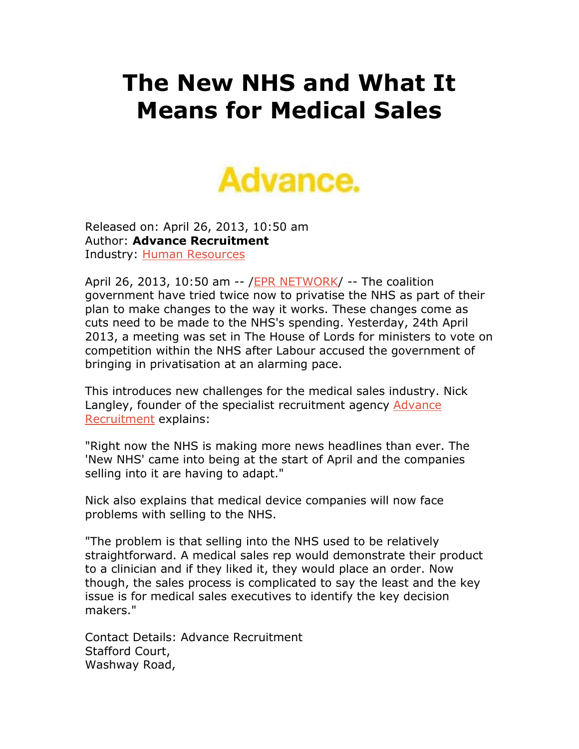## **The New NHS and What It Means for Medical Sales**



Released on: April 26, 2013, 10:50 am Author: **Advance Recruitment**  Industry: Human Resources

April 26, 2013, 10:50 am -- /EPR NETWORK/ -- The coalition government have tried twice now to privatise the NHS as part of their plan to make changes to the way it works. These changes come as cuts need to be made to the NHS's spending. Yesterday, 24th April 2013, a meeting was set in The House of Lords for ministers to vote on competition within the NHS after Labour accused the government of bringing in privatisation at an alarming pace.

This introduces new challenges for the medical sales industry. Nick Langley, founder of the specialist recruitment agency Advance Recruitment explains:

"Right now the NHS is making more news headlines than ever. The 'New NHS' came into being at the start of April and the companies selling into it are having to adapt."

Nick also explains that medical device companies will now face problems with selling to the NHS.

"The problem is that selling into the NHS used to be relatively straightforward. A medical sales rep would demonstrate their product to a clinician and if they liked it, they would place an order. Now though, the sales process is complicated to say the least and the key issue is for medical sales executives to identify the key decision makers."

Contact Details: Advance Recruitment Stafford Court, Washway Road,